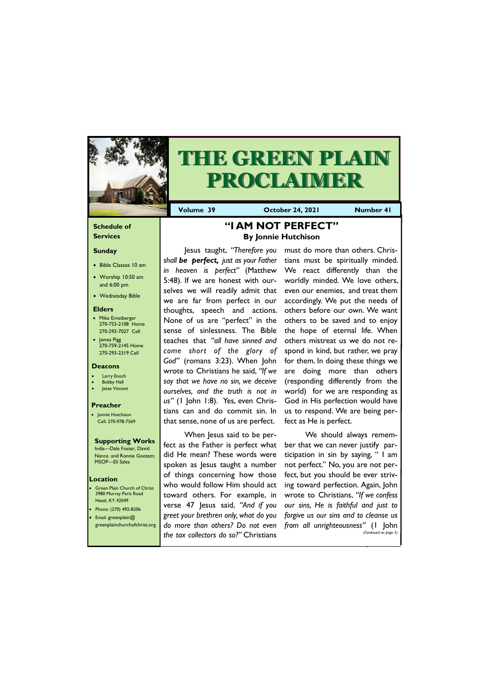### **Schedule of Services**

### **Sunday**

- Bible Classes 10 am
- Worship 10:50 am and 6:00 pm
- Wednesday Bible

#### **Elders**

- Mike Ernstberger 270-753-2108 Home 270-293-7027 Cell
- James Pigg 270-759-2145 Home 270-293-2319 Cell

Green Plain Church of Christ 3980 Murray Paris Road Hazel, KY 42049 • Phone: (270) 492-8206 • Email: greenplain@



# **THE GREEN PLAIN PROCLAIMER**

**Volume 39 Corober 24, 2021 Number 41** 

### **Location**

### **Deacons**

- **Larry Enoch**
- **Bobby Hall**
- Jesse Vincent

### **Preacher**

• Jonnie Hutchison Cell: 270-978-7569

#### **Supporting Works** India—Dale Foster, David

Nance. and Ronnie Gootam; MSOP—Eli Sales

### **"I AM NOT PERFECT" By Jonnie Hutchison**

Jesus taught, *"Therefore you shall be perfect, just as your Father in heaven is perfect"* (Matthew 5:48). If we are honest with ourselves we will readily admit that we are far from perfect in our thoughts, speech and actions. None of us are "perfect" in the sense of sinlessness. The Bible teaches that *"all have sinned and come short of the glory of God"* (romans 3:23). When John wrote to Christians he said, *"If we say that we have no sin, we deceive ourselves, and the truth is not in us"* (1 John 1:8). Yes, even Christians can and do commit sin. In that sense, none of us are perfect.

When Jesus said to be perfect as the Father is perfect what did He mean? These words were spoken as Jesus taught a number of things concerning how those who would follow Him should act toward others. For example, in verse 47 Jesus said, *"And if you greet your brethren only, what do you* 

|                                       | greenplainchurchofchrist.org   do more than others? Do not even from all unrighteousness" (I John |
|---------------------------------------|---------------------------------------------------------------------------------------------------|
| the tax collectors do so?" Christians | (Continued on page 3)                                                                             |

must do more than others. Christians must be spiritually minded. We react differently than the worldly minded. We love others, even our enemies, and treat them accordingly. We put the needs of others before our own. We want others to be saved and to enjoy the hope of eternal life. When others mistreat us we do not respond in kind, but rather, we pray for them. In doing these things we are doing more than others (responding differently from the world) for we are responding as God in His perfection would have us to respond. We are being perfect as He is perfect.

We should always remember that we can never justify participation in sin by saying, " I am not perfect." No, you are not perfect, but you should be ever striving toward perfection. Again, John wrote to Christians, *"If we confess our sins, He is faithful and just to forgive us our sins and to cleanse us*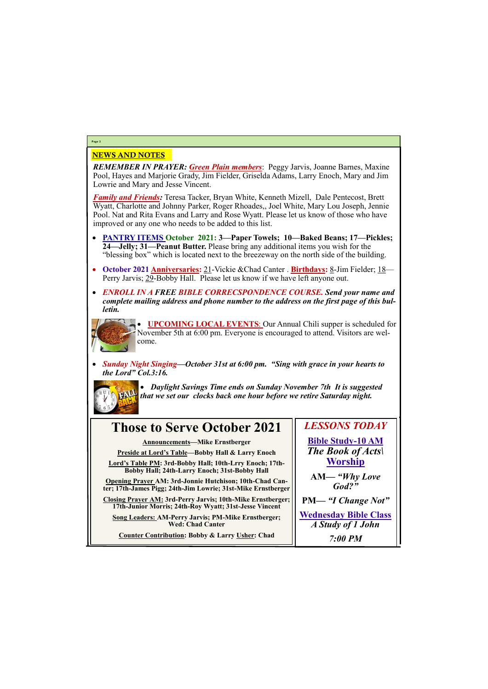### NEWS AND NOTES

*REMEMBER IN PRAYER: Green Plain members*: Peggy Jarvis, Joanne Barnes, Maxine Pool, Hayes and Marjorie Grady, Jim Fielder, Griselda Adams, Larry Enoch, Mary and Jim Lowrie and Mary and Jesse Vincent.

*Family and Friends:* Teresa Tacker, Bryan White, Kenneth Mizell, Dale Pentecost, Brett Wyatt, Charlotte and Johnny Parker, Roger Rhoades,, Joel White, Mary Lou Joseph, Jennie Pool. Nat and Rita Evans and Larry and Rose Wyatt. Please let us know of those who have improved or any one who needs to be added to this list.

- **PANTRY ITEMS October 2021: 3—Paper Towels; 10—Baked Beans; 17—Pickles; 24—Jelly; 31—Peanut Butter.** Please bring any additional items you wish for the "blessing box" which is located next to the breezeway on the north side of the building.
- **October 2021 Anniversaries:** 21-Vickie &Chad Canter . **Birthdays:** 8-Jim Fielder; 18— Perry Jarvis; 29-Bobby Hall. Please let us know if we have left anyone out.
- *ENROLL IN A FREE BIBLE CORRECSPONDENCE COURSE. Send your name and complete mailing address and phone number to the address on the first page of this bulletin.*



• **UPCOMING LOCAL EVENTS**: Our Annual Chili supper is scheduled for November 5th at 6:00 pm. Everyone is encouraged to attend. Visitors are welcome.

• *Sunday Night Singing—October 31st at 6:00 pm. "Sing with grace in your hearts to the Lord" Col.3:16.*



• *Daylight Savings Time ends on Sunday November 7th It is suggested that we set our clocks back one hour before we retire Saturday night.* 

### **Page 2**

## **Those to Serve October 2021**

**Announcements—Mike Ernstberger**

**Preside at Lord's Table—Bobby Hall & Larry Enoch**

**Lord's Table PM: 3rd-Bobby Hall; 10th-Lrry Enoch; 17th-Bobby Hall; 24th-Larry Enoch; 31st-Bobby Hall**

**Opening Prayer AM: 3rd-Jonnie Hutchison; 10th-Chad Canter; 17th-James Pigg; 24th-Jim Lowrie; 31st-Mike Ernstberger**

**Closing Prayer AM: 3rd-Perry Jarvis; 10th-Mike Ernstberger; 17th-Junior Morris; 24th-Roy Wyatt; 31st-Jesse Vincent**

**Song Leaders: AM-Perry Jarvis; PM-Mike Ernstberger;** 

| <b>Wed: Chad Canter</b>                         | A Study of 1 John |
|-------------------------------------------------|-------------------|
| Counter Contribution: Bobby & Larry Usher: Chad | $7:00$ PM         |

*LESSONS TODAY* **Bible Study-10 AM** *The Book of Acts\* **Worship AM***— "Why Love God?"* **PM—** *"I Change Not"* **Wednesday Bible Class**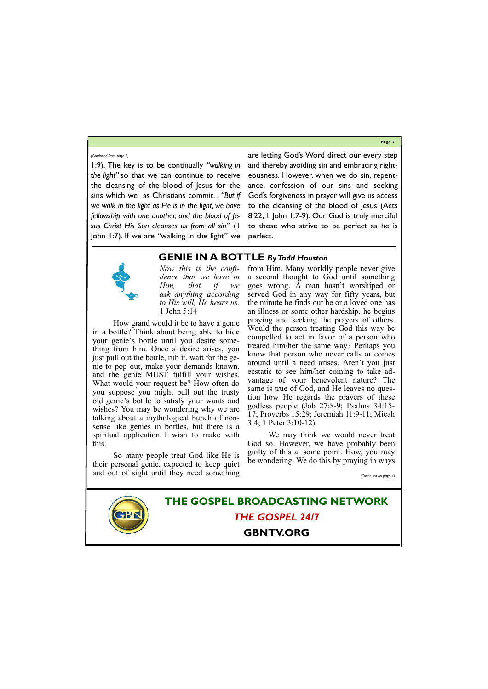**Page 3**

1:9). The key is to be continually *"walking in the light"* so that we can continue to receive the cleansing of the blood of Jesus for the sins which we as Christians commit. , *"But if we walk in the light as He is in the light, we have fellowship with one another, and the blood of Jesus Christ His Son cleanses us from all sin"* (1 John 1:7). If we are "walking in the light" we are letting God's Word direct our every step and thereby avoiding sin and embracing righteousness. However, when we do sin, repentance, confession of our sins and seeking God's forgiveness in prayer will give us access to the cleansing of the blood of Jesus (Acts 8:22; 1 John 1:7-9). Our God is truly merciful to those who strive to be perfect as he is perfect.



### *(Continued from page 1)*

### **THE GOSPEL BROADCASTING NETWORK** *THE GOSPEL 24/7*

### **GBNTV.ORG**

**GENIE IN A BOTTLE** *By Todd Houston*

*Now this is the confidence that we have in Him, that if we ask anything according to His will, He hears us.*  1 John 5:14

How grand would it be to have a genie in a bottle? Think about being able to hide your genie's bottle until you desire something from him. Once a desire arises, you just pull out the bottle, rub it, wait for the genie to pop out, make your demands known, and the genie MUST fulfill your wishes. What would your request be? How often do you suppose you might pull out the trusty old genie's bottle to satisfy your wants and wishes? You may be wondering why we are talking about a mythological bunch of nonsense like genies in bottles, but there is a spiritual application I wish to make with this.

So many people treat God like He is their personal genie, expected to keep quiet and out of sight until they need something

from Him. Many worldly people never give a second thought to God until something goes wrong. A man hasn't worshiped or served God in any way for fifty years, but the minute he finds out he or a loved one has an illness or some other hardship, he begins praying and seeking the prayers of others. Would the person treating God this way be compelled to act in favor of a person who treated him/her the same way? Perhaps you know that person who never calls or comes around until a need arises. Aren't you just ecstatic to see him/her coming to take advantage of your benevolent nature? The same is true of God, and He leaves no question how He regards the prayers of these godless people (Job 27:8-9; Psalms 34:15- 17; Proverbs 15:29; Jeremiah 11:9-11; Micah 3:4; 1 Peter 3:10-12).

We may think we would never treat God so. However, we have probably been guilty of this at some point. How, you may be wondering. We do this by praying in ways

*(Continued on page 4)*